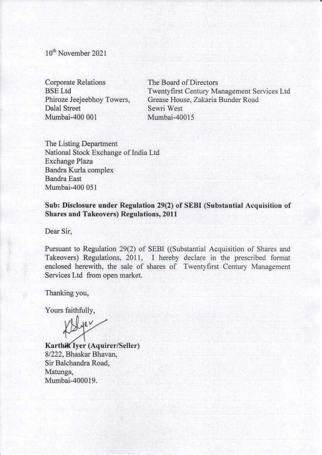10<sup>th</sup> November 2021

**Corporate Relations BSE** Ltd Phiroze Jeejeebhoy Towers, Dalal Street Mumbai-400 001

The Board of Directors Twentyfirst Century Management Services Ltd Grease House, Zakaria Bunder Road Sewri West Mumbai-40015

The Listing Department National Stock Exchange of India Ltd **Exchange Plaza** Bandra Kurla complex **Bandra East** Mumbai-400 051

Sub: Disclosure under Regulation 29(2) of SEBI (Substantial Acquisition of **Shares and Takeovers) Regulations, 2011** 

Dear Sir.

Pursuant to Regulation 29(2) of SEBI ((Substantial Acquisition of Shares and Takeovers) Regulations, 2011, I hereby declare in the prescribed format enclosed herewith, the sale of shares of Twentyfirst Century Management Services Ltd from open market.

Thanking you,

Yours faithfully,

Here-

Karthik Iyer (Aquirer/Seller) 8/222, Bhaskar Bhavan, Sir Balchandra Road, Matunga, Mumbai-400019.